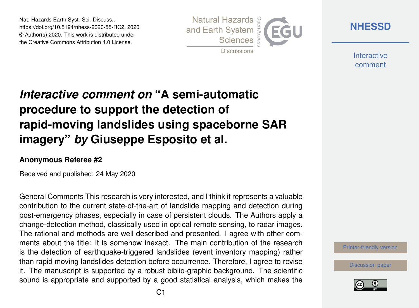Nat. Hazards Earth Syst. Sci. Discuss., https://doi.org/10.5194/nhess-2020-55-RC2, 2020 © Author(s) 2020. This work is distributed under the Creative Commons Attribution 4.0 License.



**[NHESSD](https://www.nat-hazards-earth-syst-sci-discuss.net/)**

**Interactive** comment

## *Interactive comment on* **"A semi-automatic procedure to support the detection of rapid-moving landslides using spaceborne SAR imagery"** *by* **Giuseppe Esposito et al.**

## **Anonymous Referee #2**

Received and published: 24 May 2020

General Comments This research is very interested, and I think it represents a valuable contribution to the current state-of-the-art of landslide mapping and detection during post-emergency phases, especially in case of persistent clouds. The Authors apply a change-detection method, classically used in optical remote sensing, to radar images. The rational and methods are well described and presented. I agree with other comments about the title: it is somehow inexact. The main contribution of the research is the detection of earthquake-triggered landslides (event inventory mapping) rather than rapid moving landslides detection before occurrence. Therefore, I agree to revise it. The manuscript is supported by a robust biblio-graphic background. The scientific sound is appropriate and supported by a good statistical analysis, which makes the

[Printer-friendly version](https://www.nat-hazards-earth-syst-sci-discuss.net/nhess-2020-55/nhess-2020-55-RC2-print.pdf)

[Discussion paper](https://www.nat-hazards-earth-syst-sci-discuss.net/nhess-2020-55)